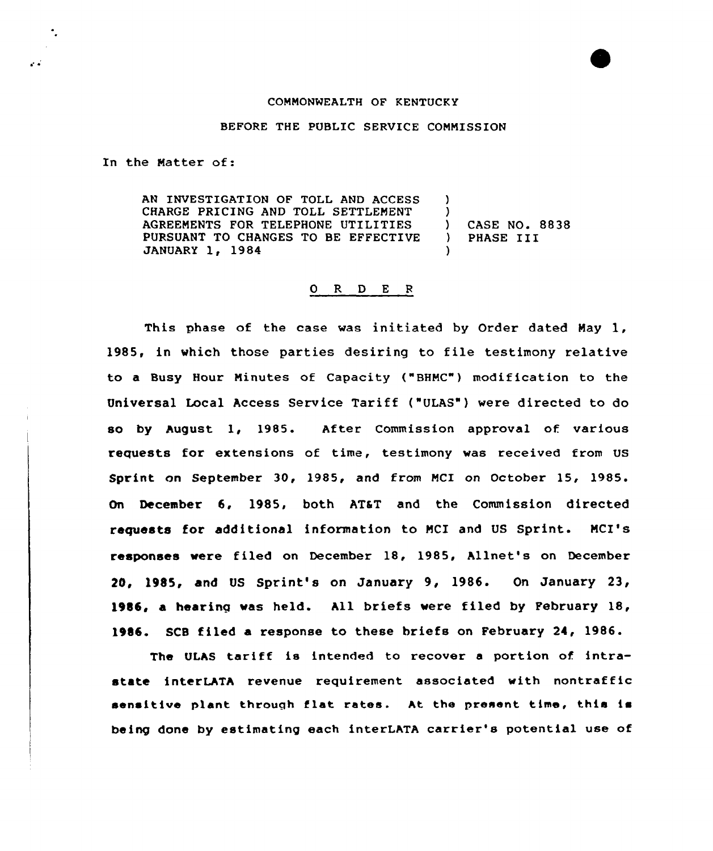## COMMONWEALTH OF KENTUCKY

## BEFORE THE PUBLIC SERVICE COMMISSION

In the Natter of:

 $\ddot{\phantom{a}}$ 

 $\mathcal{L}$ 

AN INVESTIGATION OF TOLL AND ACCESS CHARGE PRICING AND TOLL SETTLEMENT AGREEMENTS FOR TELEPHONE UTILITIES PURSUANT TO CHANGES TO BE EFFECTIVE JANUARY 1, 1984 )  $\lambda$ ) CASE NO. 8838 ) PHASE III )

## O R D E R

This phase of the case was initiated by Order dated May 1, 1985, in which those parties desiring to file testimony relative to a Busy Hour Minutes of Capacity ("BHMC") modification to the Vniversal Local Access Service Tariff ("ULAS") were directed to do so by August. 1, 1985. After Commission approval of various requests for extensions of time, testimony was received from US Sprint on September 30, 1985, and from MCI on October 15, 1985. On December 6, 1985, both ATaT and the Commission directed requests for additional information to MCI and US Sprint. MCI's responses were filed on December 18, 1985, Allnet's on December 21, 1985, and VS Sprint's on January 9, 1986. On January 23, 1%86, a bearing was held. All briefs were filed by February 18, 1%16. SCB filed a response to these briefs on February 24, 1986.

The ULhS tariff is intended to recover <sup>a</sup> portion of intrastate interLATA revenue requirement associated with nontraffic sensitive plant through flat rates. ht the present time, this is being done by estimating each interLATA carrier's potential use of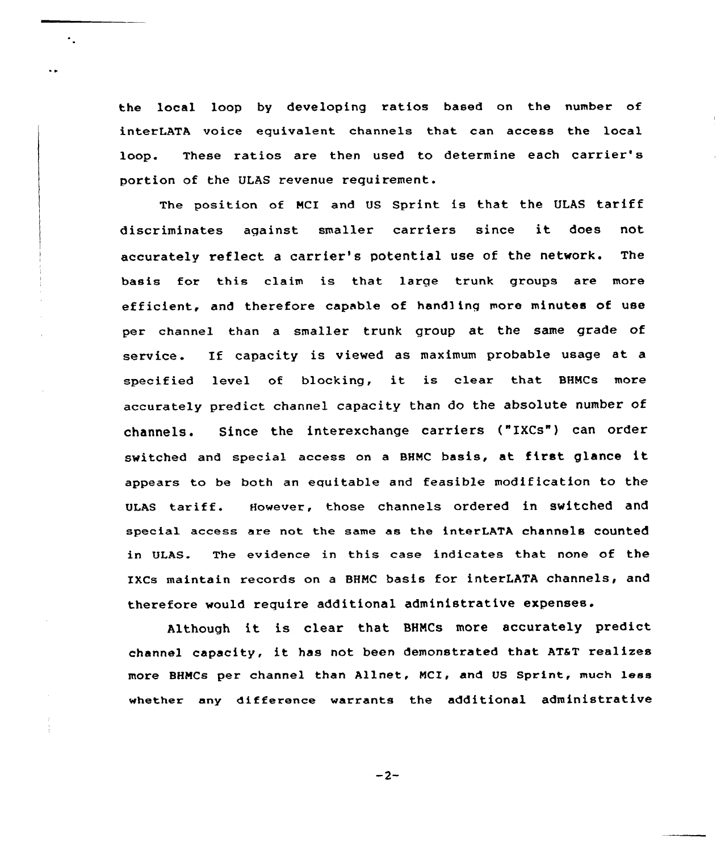the local loop by developing ratios based on the number of interLATA voice equivalent channels that can access the local loop. These ratios are then used to determine each carrier's portion of the ULAS revenue requirement.

٠.

The position of MCI and US Sprint is that the ULAS tariff discriminates against smaller carriers since it does not accurately reflect a carrier's potential use of the network. The basis for this claim is that. large trunk groups are more efficient, and therefore capable of handling more minutes of use per channel than a smaller trunk group at the same grade of service. If capacity is viewed as maximum probable usage at <sup>a</sup> specified level of blocking, it is clear that BHMC8 more accurately predict channel capacity than do the absolute number of channels. Since the interexchange carriers ("IXCS") can order switched and special access on <sup>a</sup> BHMC basis, at first glance it appears to be both an equitable and feasible modification to the ULAs tariff. However, those channels ordered in switched and special access are not the same as the interLATA channels counted in ULAS. The evidence in this case indicates that none of the IXCs maintain records on a BHNC basis for interLATA channels, and therefore would require additional administrative expenses.

Although it is clear that BHNCs more accurately predict channel capacity, it has not been demonstrated that ATaT realizes more BHNCs per channel than Allnet, NCI, and US Sprint, much less whether any diffexence warrants the additional administrative

 $-2-$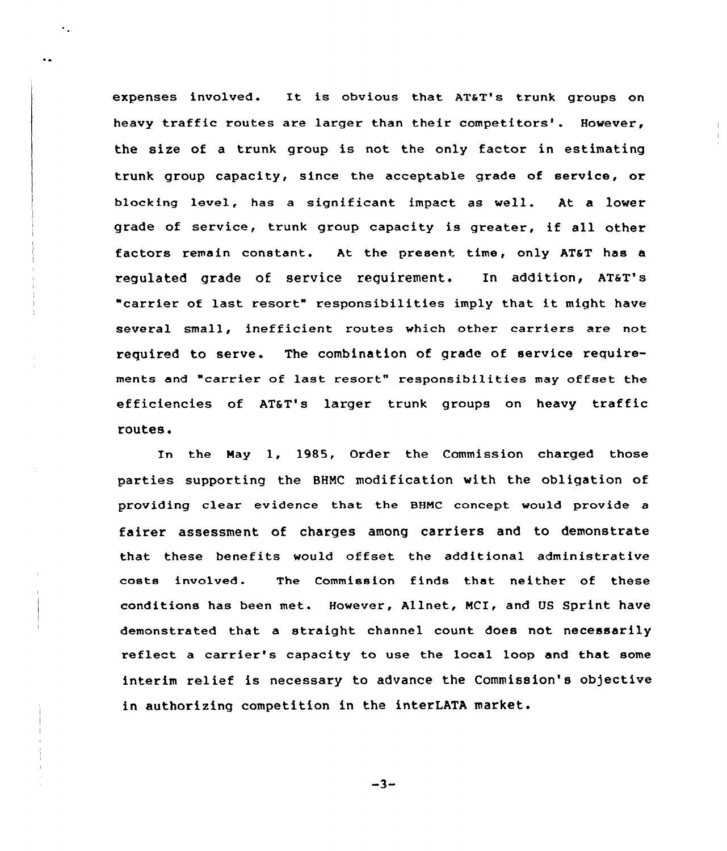expenses involved. It is obvious that AT&T's trunk groups on heavy traffic routes are larger than their competitors'. However, the size of a trunk group is not the only factor in estimating trunk group capacity, since the acceptable grade of service, or blocking level, has a significant impact as well. At a lower grade of service, trunk group capacity is greater, if all other factors remain constant. At the present time, only AT&T has a regulated grade of service requirement. In addition, AT&T's "carrier of last resort" responsibilities imply that it might have several small, inefficient routes which other carriers are not required to serve. The combination of qrade of service requirements and "carrier of last resort" responsibilities may offset the efficiencies of AT&T's larger trunk groups on heavy traffic routes.

In the Nay 1, 1985, Order the Commission charged those parties supporting the BHNC modification with the obligation of providing clear evidence that the BHNC concept would provide a fairer assessment of charges among carriers and to demonstrate that these benefits would offset the additional administrative costs involved. The Commission finds that neither of these conditions has been met. However, Allnet, NCI, and US Sprint have demonstrated that a straight channel count does not necessarily reflect <sup>a</sup> carrier's capacity to use the local loop and that some interim relief is necessary to advance the Commission's ob)ective in authorizing competition in the interLATA market.

 $-3-$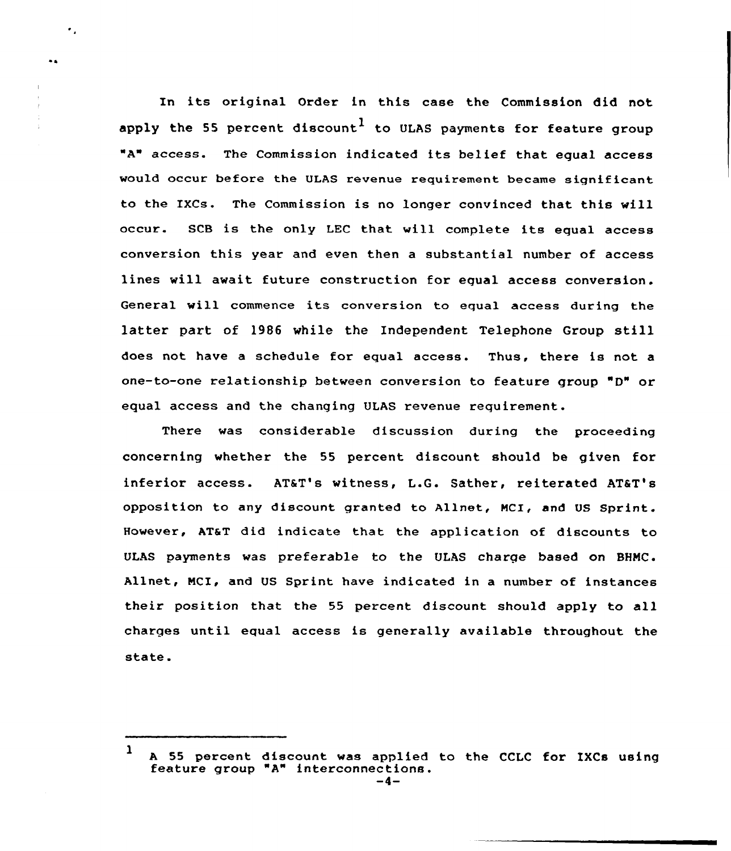In its original Order in this case the Commission did not apply the 55 percent discount $^{\mathrm{l}}$  to ULAS payments for feature group "A" access. The Commission indicated its belief that equal access would occur before the ULAS revenue requirement became signif icant to the IXCs. The Commission is no longer convinced that this will occur. SCB is the only LEC that will complete its equal access conversion this year and even then a substantial number of access lines will await future construction for equal access conversion. General will commence its conversion to equal access during the latter part of <sup>1986</sup> while the Independent Telephone Group still does not have <sup>a</sup> schedule for equal access. Thus, there is not a one-to-one relationship between conversion to feature group "D" or equal access and the changing ULAS revenue requirement.

٠.

There was considerable discussion during the proceeding concerning whether the 55 percent discount should be given for inferior access. AT&T's witness, L.G. Sather, reiterated AT&T's opposition to any discount granted to Allnet, MCI, and US Sprint. However, AT&T did indicate that the application of discounts to ULAS payments was preferable to the ULAS charge based on BHNC. Allnet, NCI, and US Sprint have indicated in a number of instances their position that the 55 percent discount should apply to all charges until equal access is generally available throughout the state.

<sup>1</sup> A 55 percent discount was applied to the CCLC for IXCs using<br>feature group "A" interconnections.<br> $-4-$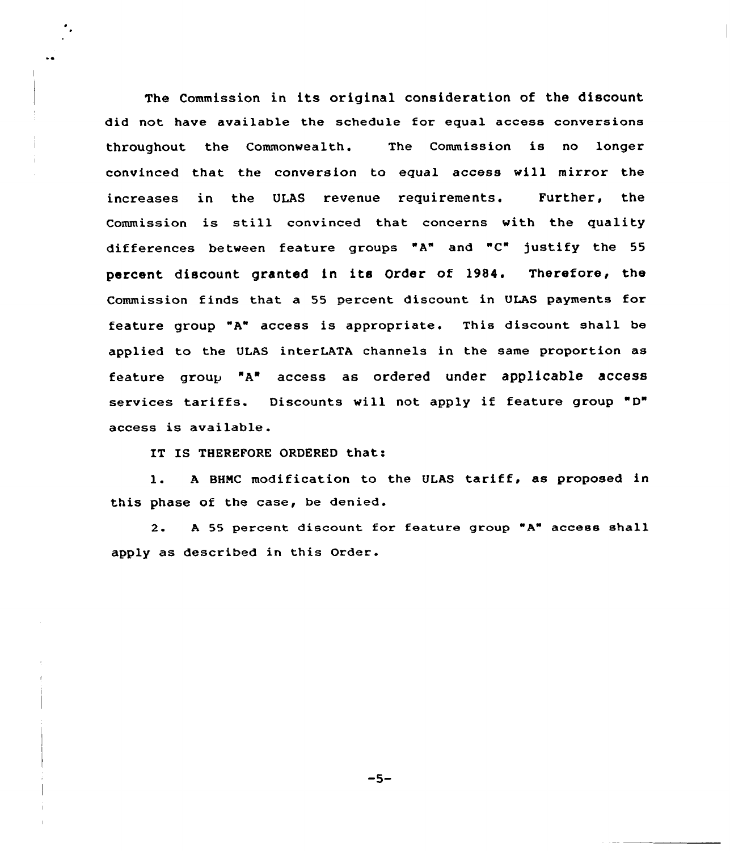The Commission in its original consideration of the discount did not have available the schedule for equal access conversions throughout the Commonwealth. The Commission is no longer convinced that the conversion to equal access will mirror the increases in the ULAS revenue requirements. Further, the Commission is still convinced that concerns with the quality differences between feature groups "A" and "C" )ustify the <sup>55</sup> percent discount granted in its Order of 19B4. Therefore, the Commission finds that a 55 percent discount in ULAS payments for feature group "A" access is appropriate, This discount shall be applied to the ULAS interLATA channels in the same proportion as feature group "A'ccess as ordered under applicable access services tariffs. Discounts will not apply if feature group "D" access is available.

IT IS THEREFORE ORDERED that:

l. <sup>A</sup> BHMC modification to the ULAS tariff, as proposed in this phase of the case, be denied.

2. A 55 percent discount for feature group "A" access shall apply as described in this Order.

 $-5-$